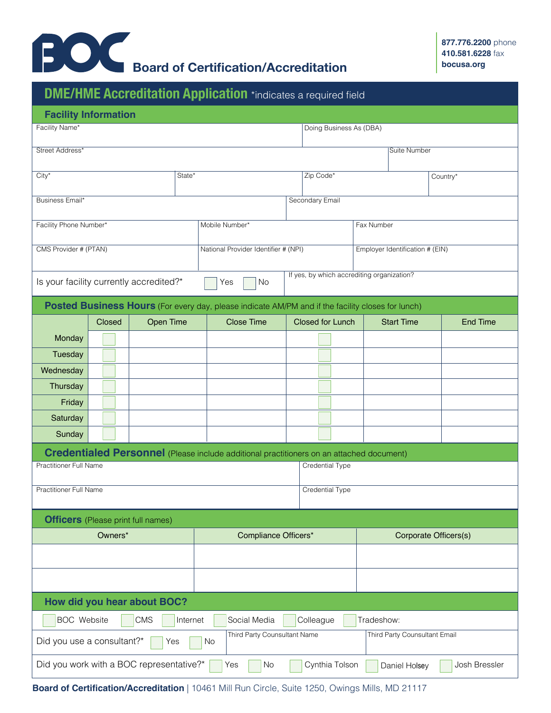

|                                                                                                           |        | <b>DME/HME Accreditation Application *indicates a required field</b>                            |  |                                                         |                         |  |                         |  |                                 |  |                 |
|-----------------------------------------------------------------------------------------------------------|--------|-------------------------------------------------------------------------------------------------|--|---------------------------------------------------------|-------------------------|--|-------------------------|--|---------------------------------|--|-----------------|
| <b>Facility Information</b>                                                                               |        |                                                                                                 |  |                                                         |                         |  |                         |  |                                 |  |                 |
| Facility Name*                                                                                            |        |                                                                                                 |  |                                                         | Doing Business As (DBA) |  |                         |  |                                 |  |                 |
| Street Address*                                                                                           |        |                                                                                                 |  |                                                         |                         |  |                         |  | <b>Suite Number</b>             |  |                 |
|                                                                                                           |        |                                                                                                 |  |                                                         |                         |  |                         |  |                                 |  |                 |
| $City^*$<br>State*                                                                                        |        |                                                                                                 |  |                                                         |                         |  | Zip Code*               |  | Country*                        |  |                 |
| Business Email*                                                                                           |        |                                                                                                 |  | Secondary Email                                         |                         |  |                         |  |                                 |  |                 |
|                                                                                                           |        |                                                                                                 |  |                                                         |                         |  |                         |  |                                 |  |                 |
| Facility Phone Number*                                                                                    |        |                                                                                                 |  | Mobile Number*                                          |                         |  | Fax Number              |  |                                 |  |                 |
| CMS Provider # (PTAN)                                                                                     |        |                                                                                                 |  | National Provider Identifier # (NPI)                    |                         |  |                         |  | Employer Identification # (EIN) |  |                 |
|                                                                                                           |        |                                                                                                 |  |                                                         |                         |  |                         |  |                                 |  |                 |
| Is your facility currently accredited?*                                                                   |        |                                                                                                 |  | If yes, by which accrediting organization?<br>No<br>Yes |                         |  |                         |  |                                 |  |                 |
| Posted Business Hours (For every day, please indicate AM/PM and if the facility closes for lunch)         |        |                                                                                                 |  |                                                         |                         |  |                         |  |                                 |  |                 |
|                                                                                                           | Closed | <b>Open Time</b>                                                                                |  | <b>Close Time</b>                                       |                         |  | <b>Closed for Lunch</b> |  | <b>Start Time</b>               |  | <b>End Time</b> |
| Monday                                                                                                    |        |                                                                                                 |  |                                                         |                         |  |                         |  |                                 |  |                 |
| Tuesday                                                                                                   |        |                                                                                                 |  |                                                         |                         |  |                         |  |                                 |  |                 |
| Wednesday                                                                                                 |        |                                                                                                 |  |                                                         |                         |  |                         |  |                                 |  |                 |
| Thursday                                                                                                  |        |                                                                                                 |  |                                                         |                         |  |                         |  |                                 |  |                 |
| Friday                                                                                                    |        |                                                                                                 |  |                                                         |                         |  |                         |  |                                 |  |                 |
| Saturday                                                                                                  |        |                                                                                                 |  |                                                         |                         |  |                         |  |                                 |  |                 |
| Sunday                                                                                                    |        |                                                                                                 |  |                                                         |                         |  |                         |  |                                 |  |                 |
|                                                                                                           |        | <b>Credentialed Personnel</b> (Please include additional practitioners on an attached document) |  |                                                         |                         |  |                         |  |                                 |  |                 |
| <b>Practitioner Full Name</b>                                                                             |        |                                                                                                 |  |                                                         |                         |  | Credential Type         |  |                                 |  |                 |
| Practitioner Full Name                                                                                    |        |                                                                                                 |  | Credential Type                                         |                         |  |                         |  |                                 |  |                 |
|                                                                                                           |        |                                                                                                 |  |                                                         |                         |  |                         |  |                                 |  |                 |
| <b>Officers</b> (Please print full names)                                                                 |        |                                                                                                 |  |                                                         |                         |  |                         |  |                                 |  |                 |
| Owners*                                                                                                   |        |                                                                                                 |  | Compliance Officers*                                    |                         |  | Corporate Officers(s)   |  |                                 |  |                 |
|                                                                                                           |        |                                                                                                 |  |                                                         |                         |  |                         |  |                                 |  |                 |
|                                                                                                           |        |                                                                                                 |  |                                                         |                         |  |                         |  |                                 |  |                 |
|                                                                                                           |        |                                                                                                 |  |                                                         |                         |  |                         |  |                                 |  |                 |
|                                                                                                           |        | How did you hear about BOC?                                                                     |  |                                                         |                         |  |                         |  |                                 |  |                 |
| <b>BOC</b> Website<br>Colleague<br><b>CMS</b><br>Internet<br>Social Media<br>Tradeshow:                   |        |                                                                                                 |  |                                                         |                         |  |                         |  |                                 |  |                 |
| Third Party Counsultant Name<br>Third Party Counsultant Email<br>Did you use a consultant?*<br>No<br>Yes  |        |                                                                                                 |  |                                                         |                         |  |                         |  |                                 |  |                 |
| Did you work with a BOC representative?*<br>Cynthia Tolson<br>Josh Bressler<br>Yes<br>No<br>Daniel Holsey |        |                                                                                                 |  |                                                         |                         |  |                         |  |                                 |  |                 |

**Board of Certification/Accreditation** | 10461 Mill Run Circle, Suite 1250, Owings Mills, MD 21117